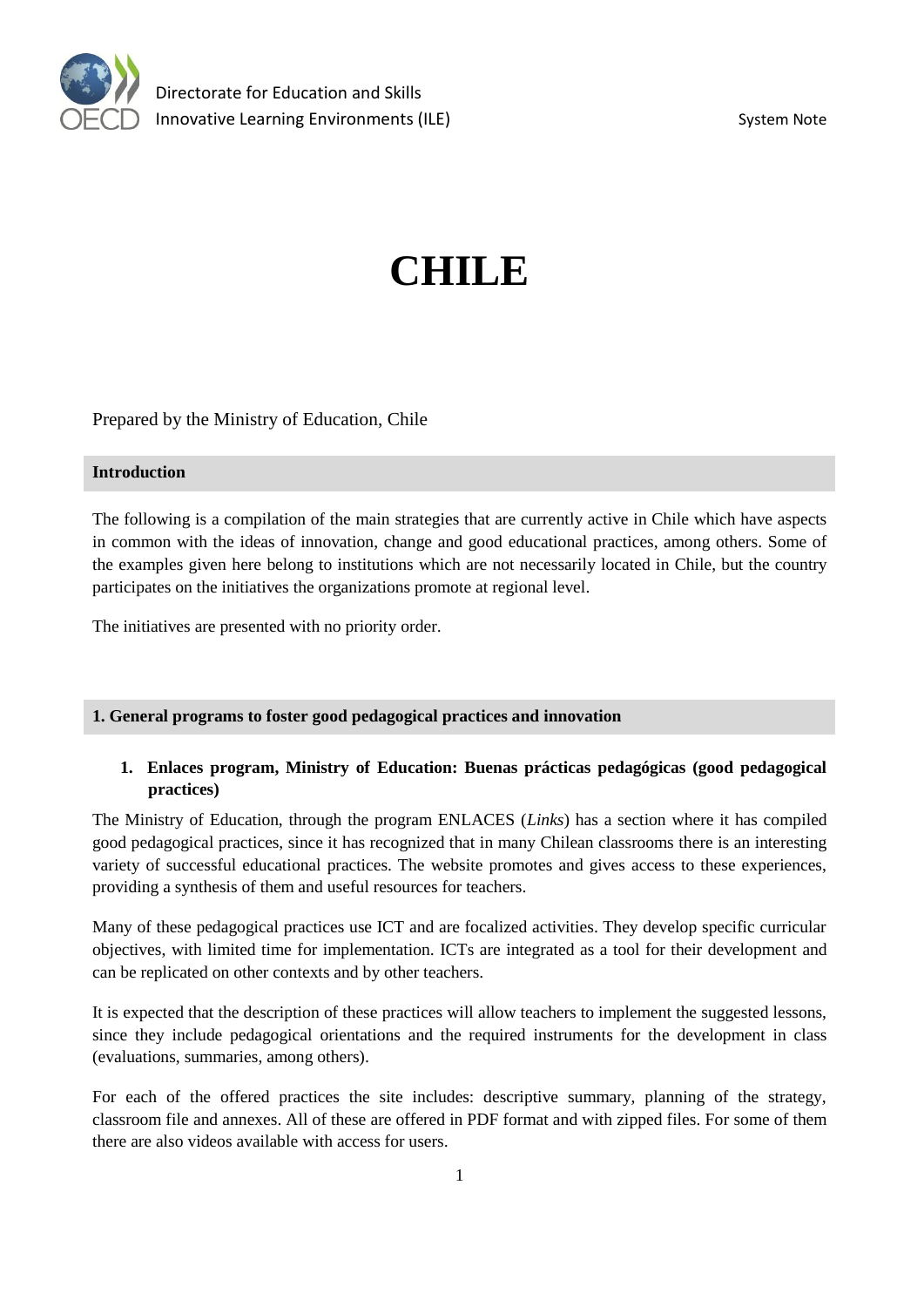

# **CHILE**

Prepared by the Ministry of Education, Chile

#### **Introduction**

The following is a compilation of the main strategies that are currently active in Chile which have aspects in common with the ideas of innovation, change and good educational practices, among others. Some of the examples given here belong to institutions which are not necessarily located in Chile, but the country participates on the initiatives the organizations promote at regional level.

The initiatives are presented with no priority order.

#### **1. General programs to foster good pedagogical practices and innovation**

## **1. Enlaces program, Ministry of Education: Buenas prácticas pedagógicas (good pedagogical practices)**

The Ministry of Education, through the program ENLACES (*Links*) has a section where it has compiled good pedagogical practices, since it has recognized that in many Chilean classrooms there is an interesting variety of successful educational practices. The website promotes and gives access to these experiences, providing a synthesis of them and useful resources for teachers.

Many of these pedagogical practices use ICT and are focalized activities. They develop specific curricular objectives, with limited time for implementation. ICTs are integrated as a tool for their development and can be replicated on other contexts and by other teachers.

It is expected that the description of these practices will allow teachers to implement the suggested lessons, since they include pedagogical orientations and the required instruments for the development in class (evaluations, summaries, among others).

For each of the offered practices the site includes: descriptive summary, planning of the strategy, classroom file and annexes. All of these are offered in PDF format and with zipped files. For some of them there are also videos available with access for users.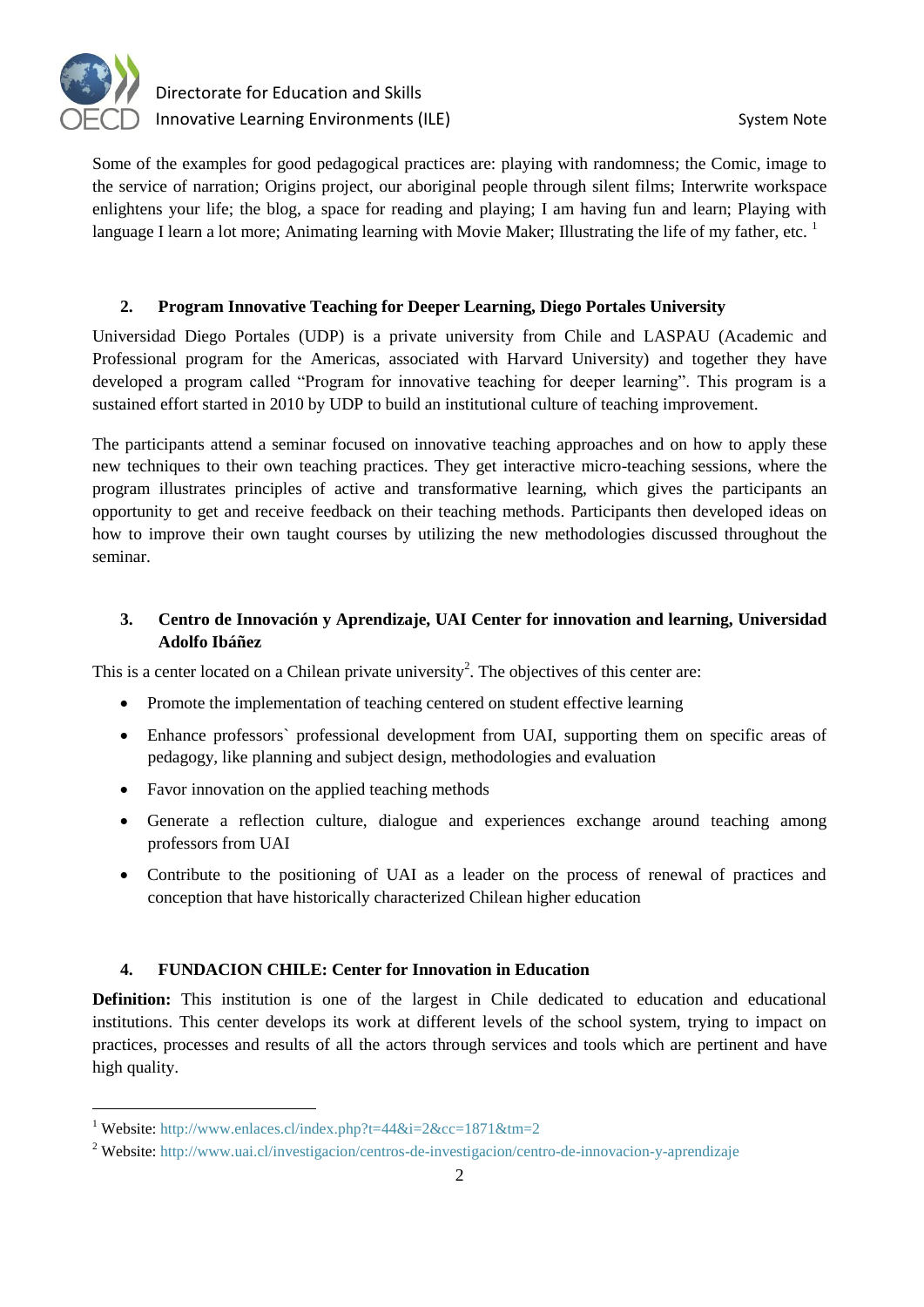

Some of the examples for good pedagogical practices are: playing with randomness; the Comic, image to the service of narration; Origins project, our aboriginal people through silent films; Interwrite workspace enlightens your life; the blog, a space for reading and playing; I am having fun and learn; Playing with language I learn a lot more; Animating learning with Movie Maker; Illustrating the life of my father, etc.  $1$ 

#### **2. Program Innovative Teaching for Deeper Learning, Diego Portales University**

Universidad Diego Portales (UDP) is a private university from Chile and LASPAU (Academic and Professional program for the Americas, associated with Harvard University) and together they have developed a program called "Program for innovative teaching for deeper learning". This program is a sustained effort started in 2010 by UDP to build an institutional culture of teaching improvement.

The participants attend a seminar focused on innovative teaching approaches and on how to apply these new techniques to their own teaching practices. They get interactive micro-teaching sessions, where the program illustrates principles of active and transformative learning, which gives the participants an opportunity to get and receive feedback on their teaching methods. Participants then developed ideas on how to improve their own taught courses by utilizing the new methodologies discussed throughout the seminar.

## **3. Centro de Innovación y Aprendizaje, UAI Center for innovation and learning, Universidad Adolfo Ibáñez**

This is a center located on a Chilean private university<sup>2</sup>. The objectives of this center are:

- Promote the implementation of teaching centered on student effective learning
- Enhance professors` professional development from UAI, supporting them on specific areas of pedagogy, like planning and subject design, methodologies and evaluation
- Favor innovation on the applied teaching methods
- Generate a reflection culture, dialogue and experiences exchange around teaching among professors from UAI
- Contribute to the positioning of UAI as a leader on the process of renewal of practices and conception that have historically characterized Chilean higher education

#### **4. FUNDACION CHILE: Center for Innovation in Education**

**Definition:** This institution is one of the largest in Chile dedicated to education and educational institutions. This center develops its work at different levels of the school system, trying to impact on practices, processes and results of all the actors through services and tools which are pertinent and have high quality.

<sup>&</sup>lt;sup>1</sup> Website:<http://www.enlaces.cl/index.php?t=44&i=2&cc=1871&tm=2>

<sup>2</sup> Website:<http://www.uai.cl/investigacion/centros-de-investigacion/centro-de-innovacion-y-aprendizaje>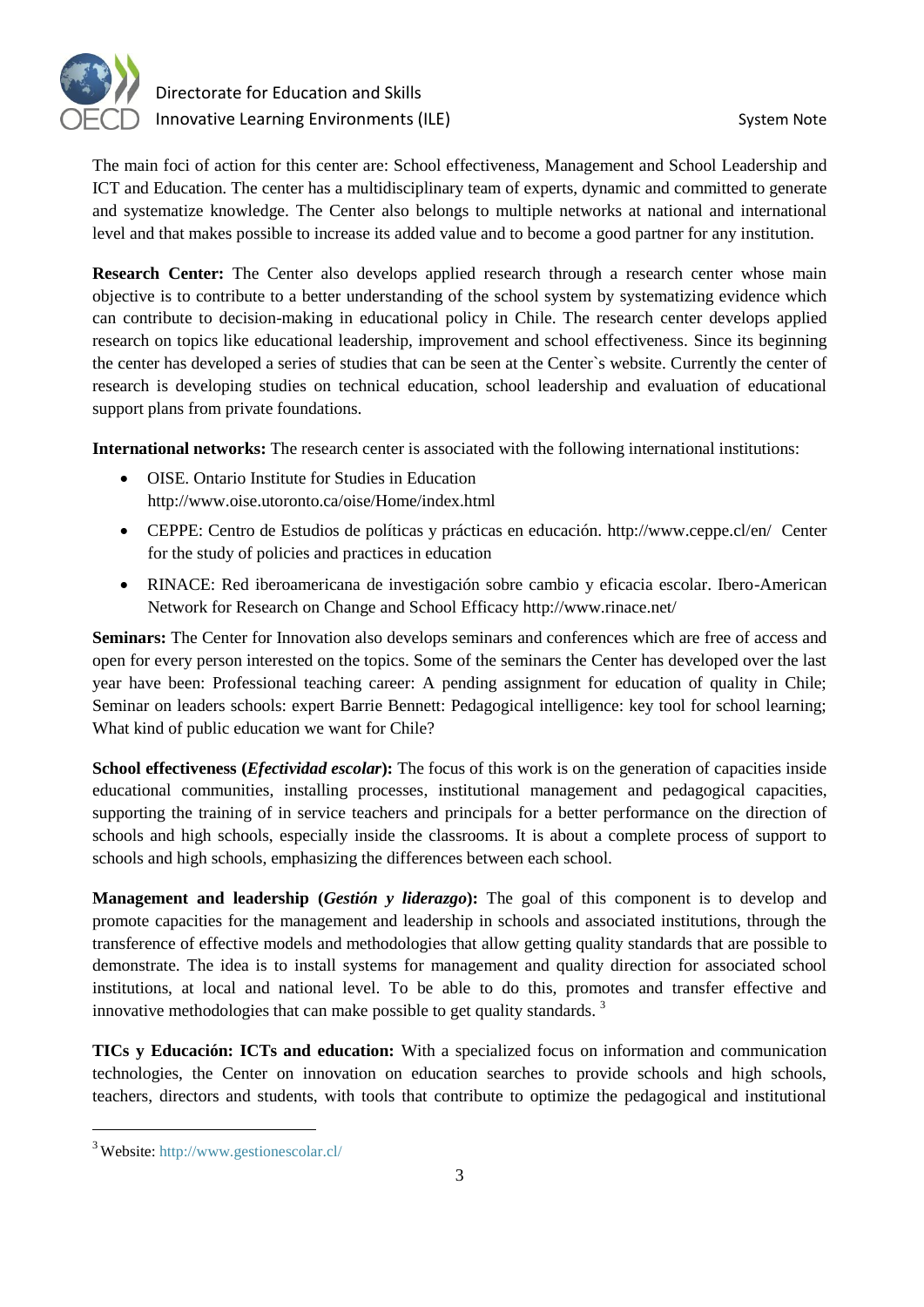

The main foci of action for this center are: School effectiveness, Management and School Leadership and ICT and Education. The center has a multidisciplinary team of experts, dynamic and committed to generate and systematize knowledge. The Center also belongs to multiple networks at national and international level and that makes possible to increase its added value and to become a good partner for any institution.

**Research Center:** The Center also develops applied research through a research center whose main objective is to contribute to a better understanding of the school system by systematizing evidence which can contribute to decision-making in educational policy in Chile. The research center develops applied research on topics like educational leadership, improvement and school effectiveness. Since its beginning the center has developed a series of studies that can be seen at the Center`s website. Currently the center of research is developing studies on technical education, school leadership and evaluation of educational support plans from private foundations.

**International networks:** The research center is associated with the following international institutions:

- OISE. Ontario Institute for Studies in Education <http://www.oise.utoronto.ca/oise/Home/index.html>
- CEPPE: Centro de Estudios de políticas y prácticas en educación.<http://www.ceppe.cl/en/>Center for the study of policies and practices in education
- RINACE: Red iberoamericana de investigación sobre cambio y eficacia escolar. Ibero-American Network for Research on Change and School Efficacy<http://www.rinace.net/>

**Seminars:** The Center for Innovation also develops seminars and conferences which are free of access and open for every person interested on the topics. Some of the seminars the Center has developed over the last year have been: Professional teaching career: A pending assignment for education of quality in Chile; Seminar on leaders schools: expert Barrie Bennett: Pedagogical intelligence: key tool for school learning; What kind of public education we want for Chile?

**School effectiveness (***Efectividad escolar*): The focus of this work is on the generation of capacities inside educational communities, installing processes, institutional management and pedagogical capacities, supporting the training of in service teachers and principals for a better performance on the direction of schools and high schools, especially inside the classrooms. It is about a complete process of support to schools and high schools, emphasizing the differences between each school.

**Management and leadership (***Gestión y liderazgo***):** The goal of this component is to develop and promote capacities for the management and leadership in schools and associated institutions, through the transference of effective models and methodologies that allow getting quality standards that are possible to demonstrate. The idea is to install systems for management and quality direction for associated school institutions, at local and national level. To be able to do this, promotes and transfer effective and innovative methodologies that can make possible to get quality standards.  $3$ 

**TICs y Educación: ICTs and education:** With a specialized focus on information and communication technologies, the Center on innovation on education searches to provide schools and high schools, teachers, directors and students, with tools that contribute to optimize the pedagogical and institutional

<sup>3</sup> Website:<http://www.gestionescolar.cl/>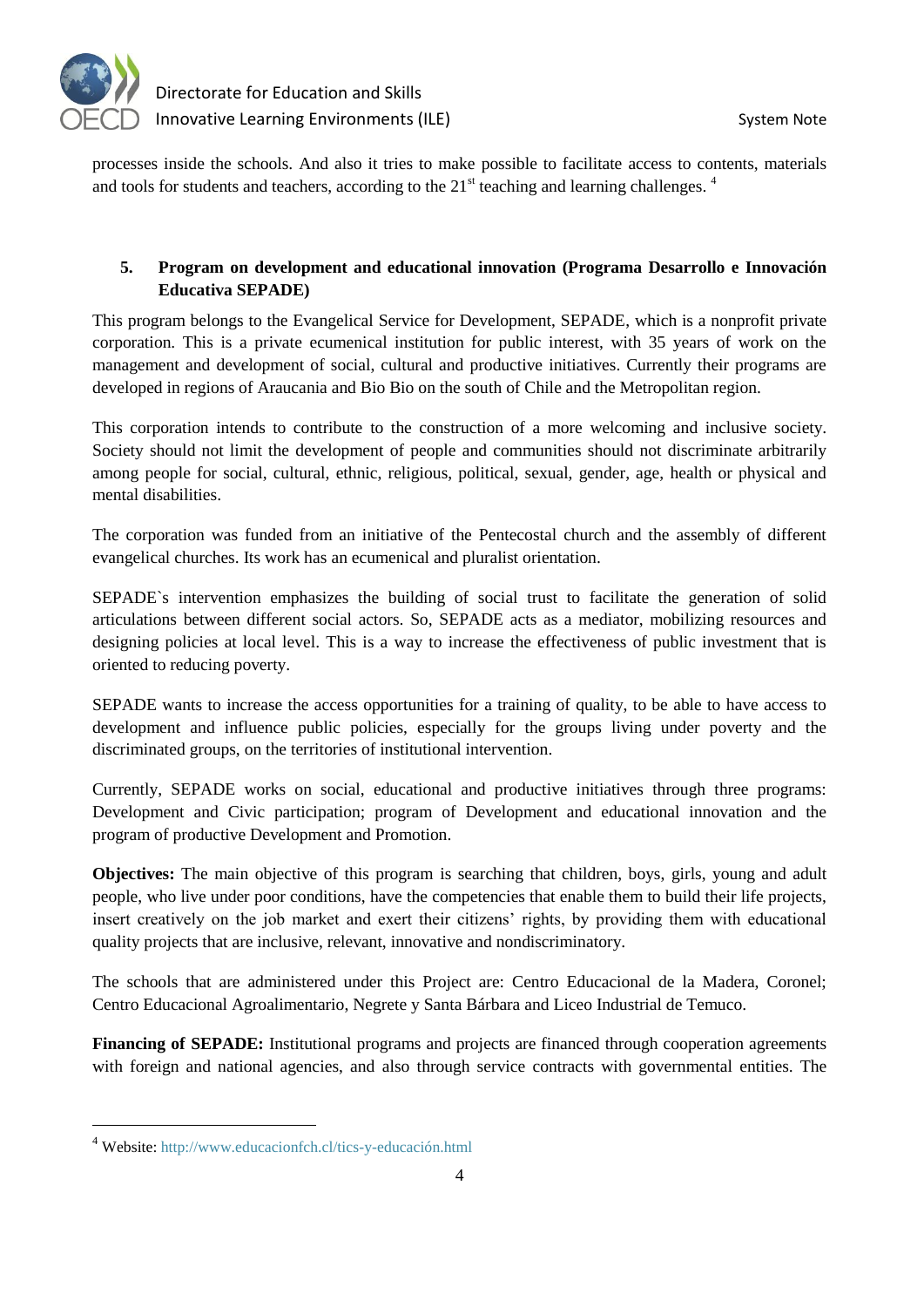

processes inside the schools. And also it tries to make possible to facilitate access to contents, materials and tools for students and teachers, according to the  $21<sup>st</sup>$  teaching and learning challenges.<sup>4</sup>

# **5. Program on development and educational innovation (Programa Desarrollo e Innovación Educativa SEPADE)**

This program belongs to the Evangelical Service for Development, SEPADE, which is a nonprofit private corporation. This is a private ecumenical institution for public interest, with 35 years of work on the management and development of social, cultural and productive initiatives. Currently their programs are developed in regions of Araucania and Bio Bio on the south of Chile and the Metropolitan region.

This corporation intends to contribute to the construction of a more welcoming and inclusive society. Society should not limit the development of people and communities should not discriminate arbitrarily among people for social, cultural, ethnic, religious, political, sexual, gender, age, health or physical and mental disabilities.

The corporation was funded from an initiative of the Pentecostal church and the assembly of different evangelical churches. Its work has an ecumenical and pluralist orientation.

SEPADE`s intervention emphasizes the building of social trust to facilitate the generation of solid articulations between different social actors. So, SEPADE acts as a mediator, mobilizing resources and designing policies at local level. This is a way to increase the effectiveness of public investment that is oriented to reducing poverty.

SEPADE wants to increase the access opportunities for a training of quality, to be able to have access to development and influence public policies, especially for the groups living under poverty and the discriminated groups, on the territories of institutional intervention.

Currently, SEPADE works on social, educational and productive initiatives through three programs: Development and Civic participation; program of Development and educational innovation and the program of productive Development and Promotion.

**Objectives:** The main objective of this program is searching that children, boys, girls, young and adult people, who live under poor conditions, have the competencies that enable them to build their life projects, insert creatively on the job market and exert their citizens' rights, by providing them with educational quality projects that are inclusive, relevant, innovative and nondiscriminatory.

The schools that are administered under this Project are: Centro Educacional de la Madera, Coronel; Centro Educacional Agroalimentario, Negrete y Santa Bárbara and Liceo Industrial de Temuco.

**Financing of SEPADE:** Institutional programs and projects are financed through cooperation agreements with foreign and national agencies, and also through service contracts with governmental entities. The

<sup>4</sup> Website:<http://www.educacionfch.cl/tics-y-educación.html>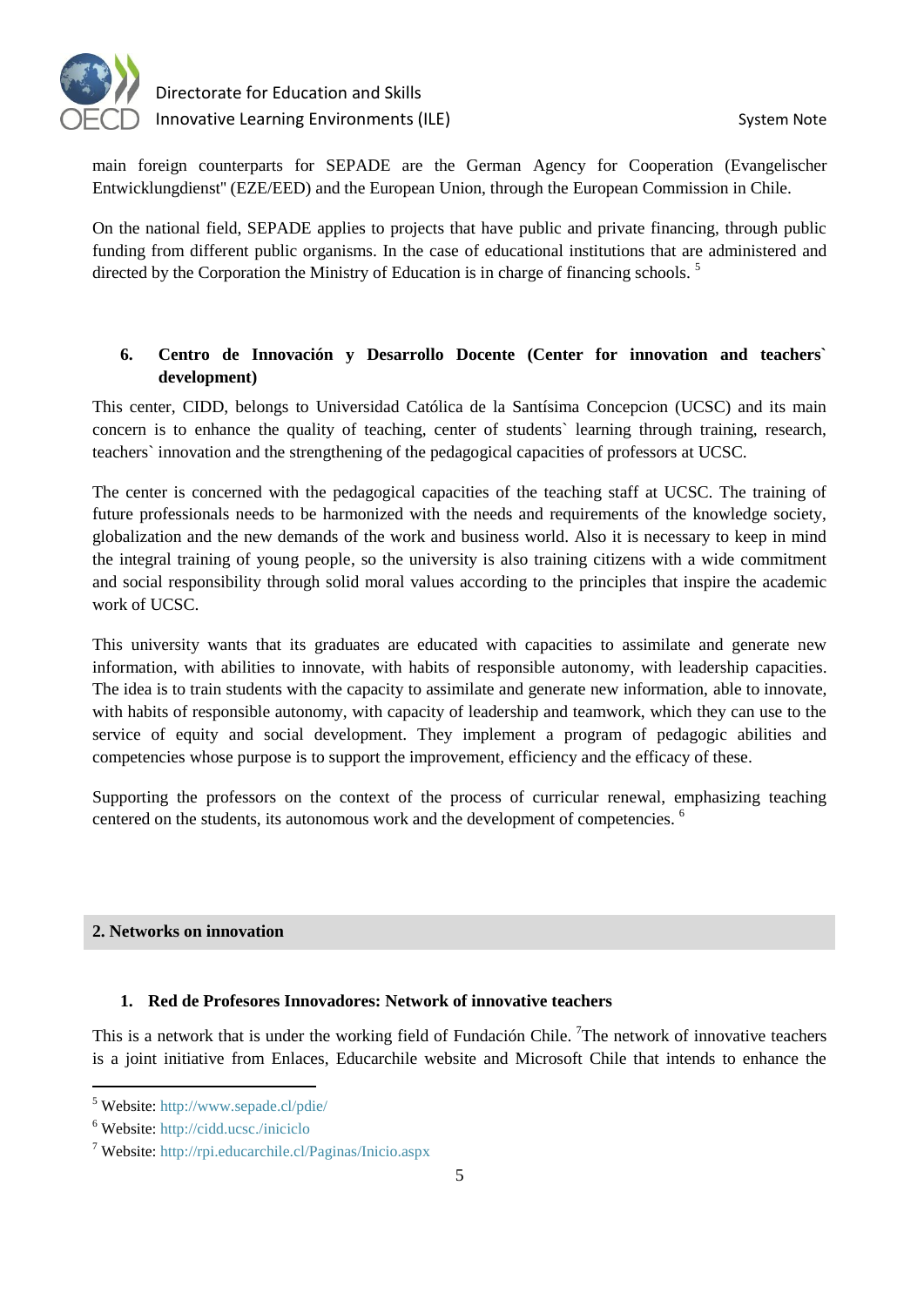

main foreign counterparts for SEPADE are the German Agency for Cooperation (Evangelischer Entwicklungdienst'' (EZE/EED) and the European Union, through the European Commission in Chile.

On the national field, SEPADE applies to projects that have public and private financing, through public funding from different public organisms. In the case of educational institutions that are administered and directed by the Corporation the Ministry of Education is in charge of financing schools.<sup>5</sup>

# **6. Centro de Innovación y Desarrollo Docente (Center for innovation and teachers` development)**

This center, CIDD, belongs to Universidad Católica de la Santísima Concepcion (UCSC) and its main concern is to enhance the quality of teaching, center of students` learning through training, research, teachers` innovation and the strengthening of the pedagogical capacities of professors at UCSC.

The center is concerned with the pedagogical capacities of the teaching staff at UCSC. The training of future professionals needs to be harmonized with the needs and requirements of the knowledge society, globalization and the new demands of the work and business world. Also it is necessary to keep in mind the integral training of young people, so the university is also training citizens with a wide commitment and social responsibility through solid moral values according to the principles that inspire the academic work of UCSC.

This university wants that its graduates are educated with capacities to assimilate and generate new information, with abilities to innovate, with habits of responsible autonomy, with leadership capacities. The idea is to train students with the capacity to assimilate and generate new information, able to innovate, with habits of responsible autonomy, with capacity of leadership and teamwork, which they can use to the service of equity and social development. They implement a program of pedagogic abilities and competencies whose purpose is to support the improvement, efficiency and the efficacy of these.

Supporting the professors on the context of the process of curricular renewal, emphasizing teaching centered on the students, its autonomous work and the development of competencies. <sup>6</sup>

## **2. Networks on innovation**

## **1. Red de Profesores Innovadores: Network of innovative teachers**

This is a network that is under the working field of Fundación Chile. <sup>7</sup>The network of innovative teachers is a joint initiative from Enlaces, Educarchile website and Microsoft Chile that intends to enhance the

<sup>5</sup> Website:<http://www.sepade.cl/pdie/>

<sup>6</sup> Website:<http://cidd.ucsc./iniciclo>

<sup>7</sup> Website:<http://rpi.educarchile.cl/Paginas/Inicio.aspx>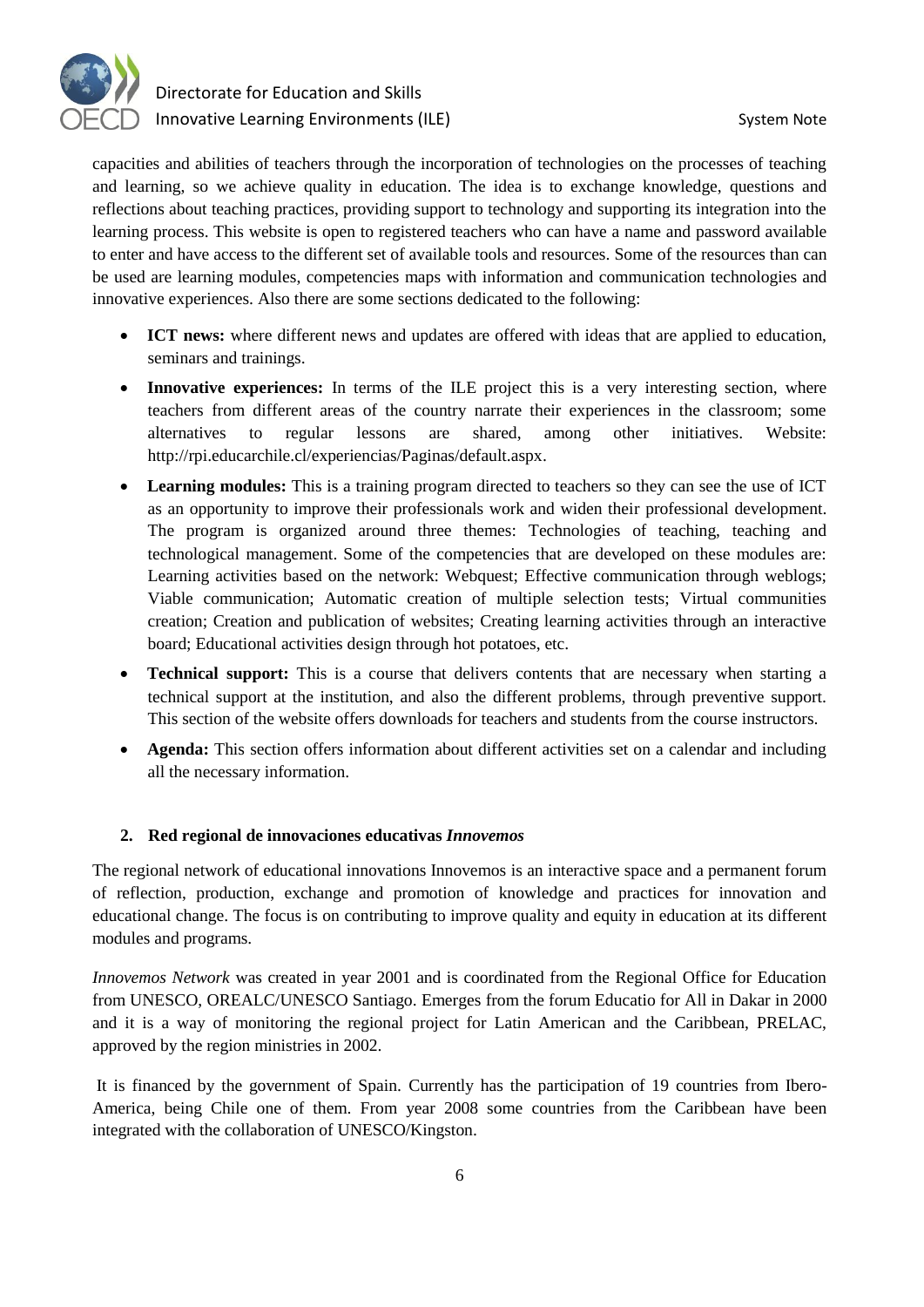

capacities and abilities of teachers through the incorporation of technologies on the processes of teaching and learning, so we achieve quality in education. The idea is to exchange knowledge, questions and reflections about teaching practices, providing support to technology and supporting its integration into the learning process. This website is open to registered teachers who can have a name and password available to enter and have access to the different set of available tools and resources. Some of the resources than can be used are learning modules, competencies maps with information and communication technologies and innovative experiences. Also there are some sections dedicated to the following:

- **ICT news:** where different news and updates are offered with ideas that are applied to education, seminars and trainings.
- **Innovative experiences:** In terms of the ILE project this is a very interesting section, where teachers from different areas of the country narrate their experiences in the classroom; some alternatives to regular lessons are shared, among other initiatives. Website: [http://rpi.educarchile.cl/experiencias/Paginas/default.aspx.](http://rpi.educarchile.cl/experiencias/Paginas/default.aspx)
- **Learning modules:** This is a training program directed to teachers so they can see the use of ICT as an opportunity to improve their professionals work and widen their professional development. The program is organized around three themes: Technologies of teaching, teaching and technological management. Some of the competencies that are developed on these modules are: Learning activities based on the network: Webquest; Effective communication through weblogs; Viable communication; Automatic creation of multiple selection tests; Virtual communities creation; Creation and publication of websites; Creating learning activities through an interactive board; Educational activities design through hot potatoes, etc.
- **Technical support:** This is a course that delivers contents that are necessary when starting a technical support at the institution, and also the different problems, through preventive support. This section of the website offers downloads for teachers and students from the course instructors.
- **Agenda:** This section offers information about different activities set on a calendar and including all the necessary information.

## **2. Red regional de innovaciones educativas** *Innovemos*

The regional network of educational innovations Innovemos is an interactive space and a permanent forum of reflection, production, exchange and promotion of knowledge and practices for innovation and educational change. The focus is on contributing to improve quality and equity in education at its different modules and programs.

*Innovemos Network* was created in year 2001 and is coordinated from the Regional Office for Education from UNESCO, OREALC/UNESCO Santiago. Emerges from the forum Educatio for All in Dakar in 2000 and it is a way of monitoring the regional project for Latin American and the Caribbean, PRELAC, approved by the region ministries in 2002.

It is financed by the government of Spain. Currently has the participation of 19 countries from Ibero-America, being Chile one of them. From year 2008 some countries from the Caribbean have been integrated with the collaboration of UNESCO/Kingston.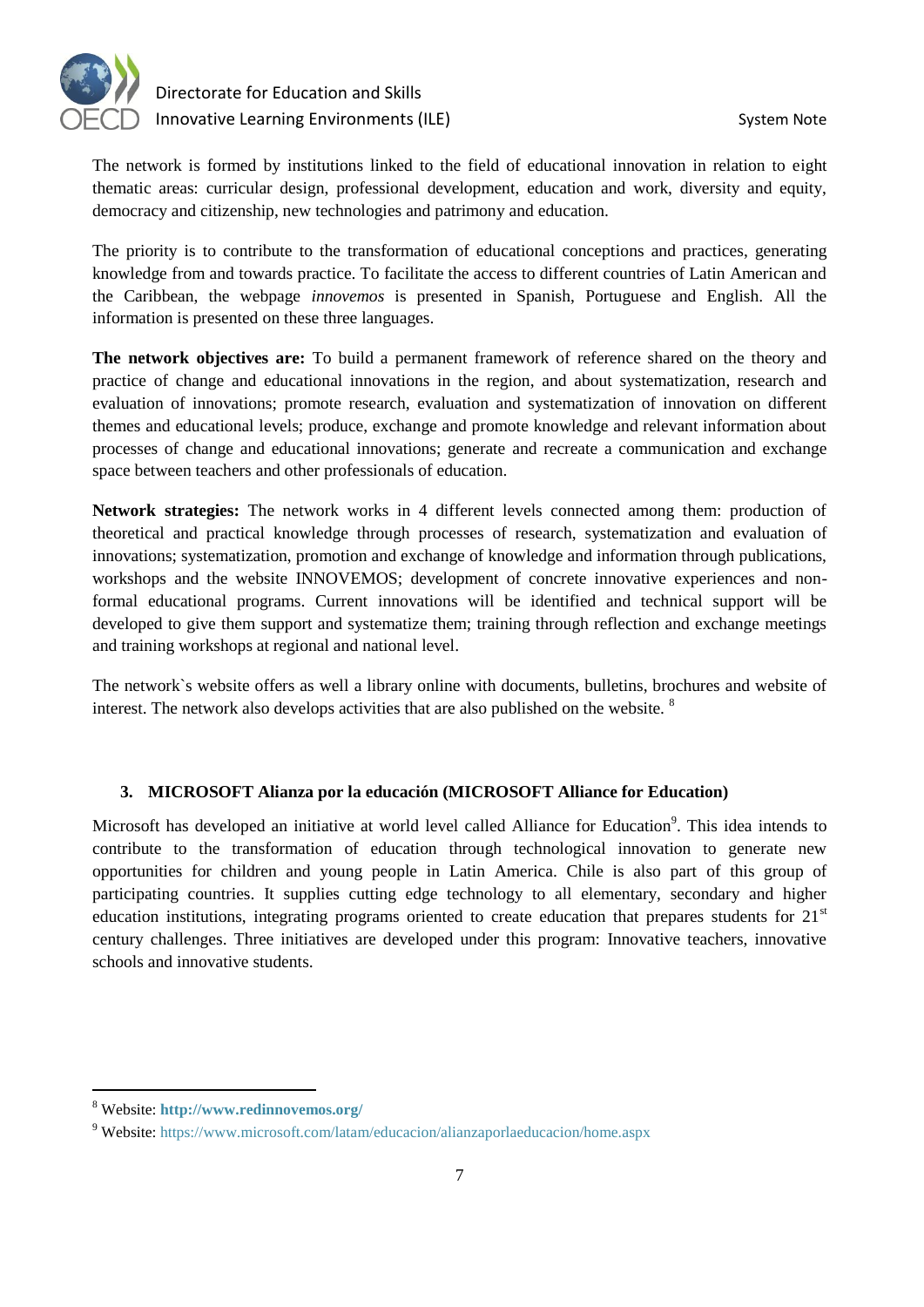

The network is formed by institutions linked to the field of educational innovation in relation to eight thematic areas: curricular design, professional development, education and work, diversity and equity, democracy and citizenship, new technologies and patrimony and education.

The priority is to contribute to the transformation of educational conceptions and practices, generating knowledge from and towards practice. To facilitate the access to different countries of Latin American and the Caribbean, the webpage *innovemos* is presented in Spanish, Portuguese and English. All the information is presented on these three languages.

**The network objectives are:** To build a permanent framework of reference shared on the theory and practice of change and educational innovations in the region, and about systematization, research and evaluation of innovations; promote research, evaluation and systematization of innovation on different themes and educational levels; produce, exchange and promote knowledge and relevant information about processes of change and educational innovations; generate and recreate a communication and exchange space between teachers and other professionals of education.

**Network strategies:** The network works in 4 different levels connected among them: production of theoretical and practical knowledge through processes of research, systematization and evaluation of innovations; systematization, promotion and exchange of knowledge and information through publications, workshops and the website INNOVEMOS; development of concrete innovative experiences and nonformal educational programs. Current innovations will be identified and technical support will be developed to give them support and systematize them; training through reflection and exchange meetings and training workshops at regional and national level.

The network`s website offers as well a library online with documents, bulletins, brochures and website of interest. The network also develops activities that are also published on the website.  $8$ 

## **3. MICROSOFT Alianza por la educación (MICROSOFT Alliance for Education)**

Microsoft has developed an initiative at world level called Alliance for Education<sup>9</sup>. This idea intends to contribute to the transformation of education through technological innovation to generate new opportunities for children and young people in Latin America. Chile is also part of this group of participating countries. It supplies cutting edge technology to all elementary, secondary and higher education institutions, integrating programs oriented to create education that prepares students for  $21<sup>st</sup>$ century challenges. Three initiatives are developed under this program: Innovative teachers, innovative schools and innovative students.

<sup>8</sup> Website: **<http://www.redinnovemos.org/>**

<sup>9</sup> Website:<https://www.microsoft.com/latam/educacion/alianzaporlaeducacion/home.aspx>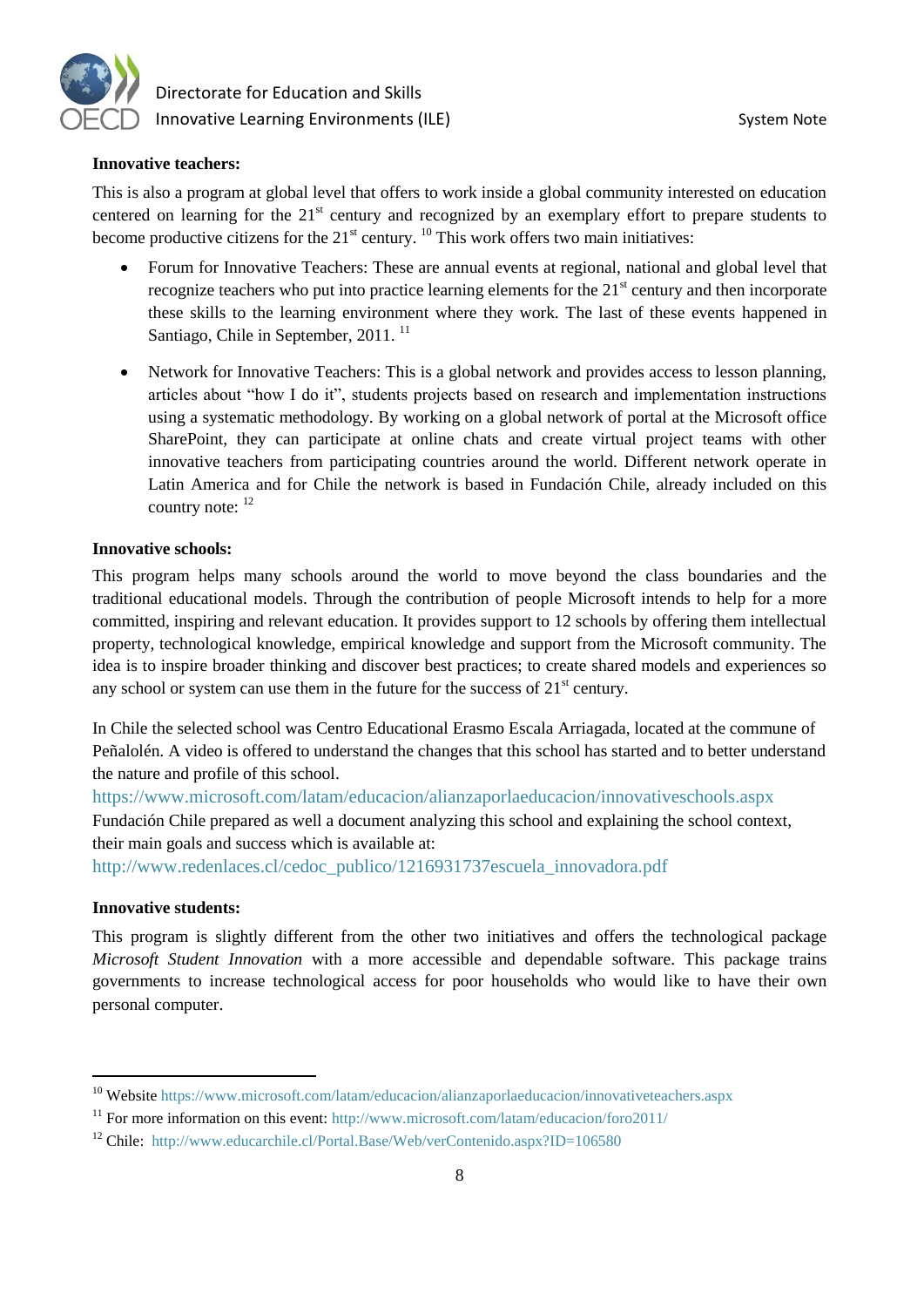

#### **Innovative teachers:**

This is also a program at global level that offers to work inside a global community interested on education centered on learning for the  $21<sup>st</sup>$  century and recognized by an exemplary effort to prepare students to become productive citizens for the  $21<sup>st</sup>$  century. <sup>10</sup> This work offers two main initiatives:

- Forum for Innovative Teachers: These are annual events at regional, national and global level that recognize teachers who put into practice learning elements for the  $21<sup>st</sup>$  century and then incorporate these skills to the learning environment where they work. The last of these events happened in Santiago, Chile in September, 2011.<sup>11</sup>
- Network for Innovative Teachers: This is a global network and provides access to lesson planning, articles about "how I do it", students projects based on research and implementation instructions using a systematic methodology. By working on a global network of portal at the Microsoft office SharePoint, they can participate at online chats and create virtual project teams with other innovative teachers from participating countries around the world. Different network operate in Latin America and for Chile the network is based in Fundación Chile, already included on this country note:  $12$

#### **Innovative schools:**

This program helps many schools around the world to move beyond the class boundaries and the traditional educational models. Through the contribution of people Microsoft intends to help for a more committed, inspiring and relevant education. It provides support to 12 schools by offering them intellectual property, technological knowledge, empirical knowledge and support from the Microsoft community. The idea is to inspire broader thinking and discover best practices; to create shared models and experiences so any school or system can use them in the future for the success of  $21<sup>st</sup>$  century.

In Chile the selected school was Centro Educational Erasmo Escala Arriagada, located at the commune of Peñalolén. A video is offered to understand the changes that this school has started and to better understand the nature and profile of this school.

<https://www.microsoft.com/latam/educacion/alianzaporlaeducacion/innovativeschools.aspx> Fundación Chile prepared as well a document analyzing this school and explaining the school context, their main goals and success which is available at:

[http://www.redenlaces.cl/cedoc\\_publico/1216931737escuela\\_innovadora.pdf](http://www.redenlaces.cl/cedoc_publico/1216931737escuela_innovadora.pdf)

#### **Innovative students:**

 $\overline{a}$ 

This program is slightly different from the other two initiatives and offers the technological package *Microsoft Student Innovation* with a more accessible and dependable software. This package trains governments to increase technological access for poor households who would like to have their own personal computer.

<sup>&</sup>lt;sup>10</sup> Website<https://www.microsoft.com/latam/educacion/alianzaporlaeducacion/innovativeteachers.aspx>

<sup>&</sup>lt;sup>11</sup> For more information on this event:<http://www.microsoft.com/latam/educacion/foro2011/>

<sup>&</sup>lt;sup>12</sup> Chile: http://www.educarchile.cl/Portal.Base/Web/verContenido.aspx?ID=106580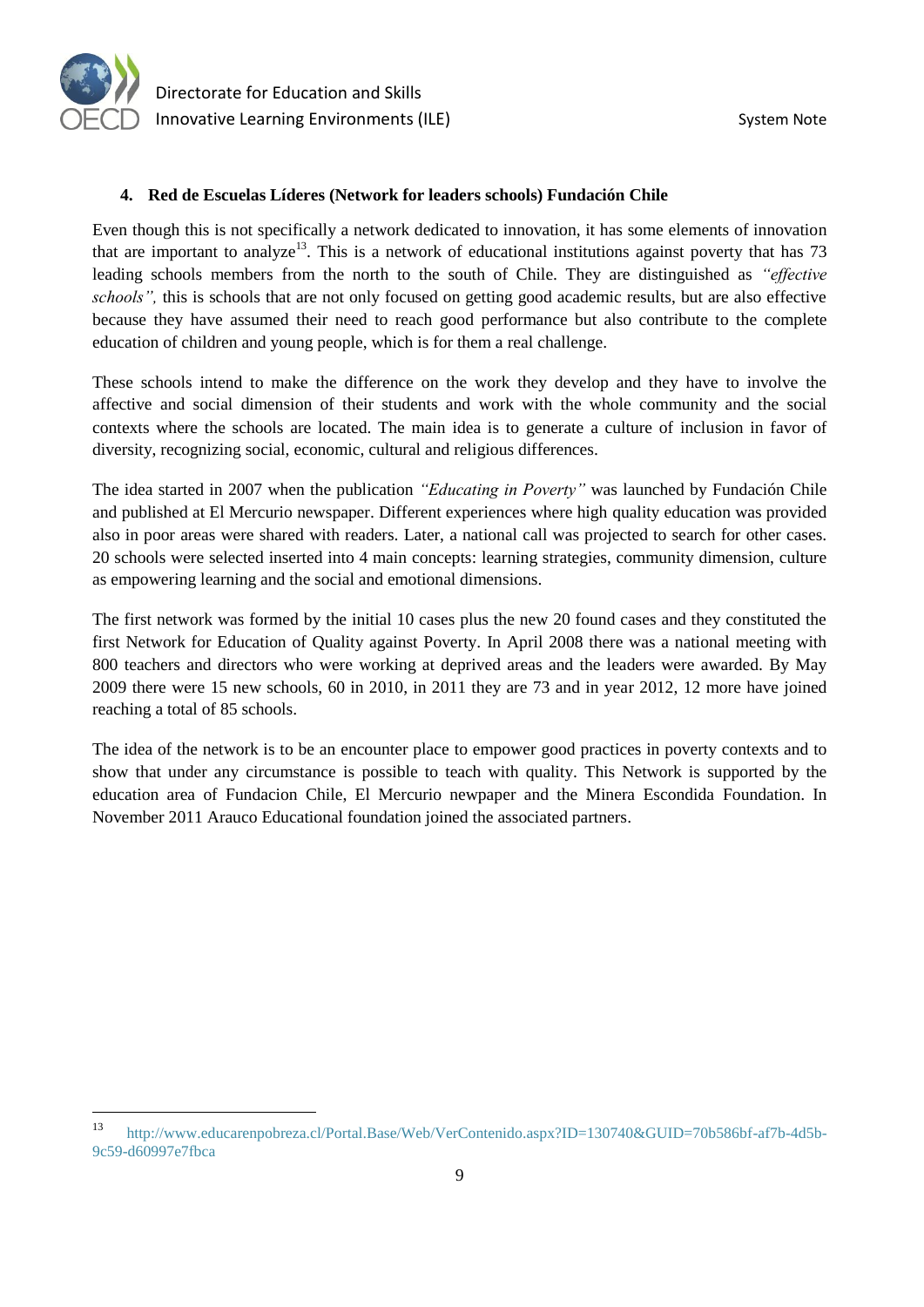

 Directorate for Education and Skills Innovative Learning Environments (ILE) System Note

#### **4. Red de Escuelas Líderes (Network for leaders schools) Fundación Chile**

Even though this is not specifically a network dedicated to innovation, it has some elements of innovation that are important to analyze<sup>13</sup>. This is a network of educational institutions against poverty that has  $73$ leading schools members from the north to the south of Chile. They are distinguished as *"effective schools",* this is schools that are not only focused on getting good academic results, but are also effective because they have assumed their need to reach good performance but also contribute to the complete education of children and young people, which is for them a real challenge.

These schools intend to make the difference on the work they develop and they have to involve the affective and social dimension of their students and work with the whole community and the social contexts where the schools are located. The main idea is to generate a culture of inclusion in favor of diversity, recognizing social, economic, cultural and religious differences.

The idea started in 2007 when the publication *"Educating in Poverty"* was launched by Fundación Chile and published at El Mercurio newspaper. Different experiences where high quality education was provided also in poor areas were shared with readers. Later, a national call was projected to search for other cases. 20 schools were selected inserted into 4 main concepts: learning strategies, community dimension, culture as empowering learning and the social and emotional dimensions.

The first network was formed by the initial 10 cases plus the new 20 found cases and they constituted the first Network for Education of Quality against Poverty. In April 2008 there was a national meeting with 800 teachers and directors who were working at deprived areas and the leaders were awarded. By May 2009 there were 15 new schools, 60 in 2010, in 2011 they are 73 and in year 2012, 12 more have joined reaching a total of 85 schools.

The idea of the network is to be an encounter place to empower good practices in poverty contexts and to show that under any circumstance is possible to teach with quality. This Network is supported by the education area of Fundacion Chile, El Mercurio newpaper and the Minera Escondida Foundation. In November 2011 Arauco Educational foundation joined the associated partners.

<sup>13</sup> [http://www.educarenpobreza.cl/Portal.Base/Web/VerContenido.aspx?ID=130740&GUID=70b586bf-af7b-4d5b-](http://www.educarenpobreza.cl/Portal.Base/Web/VerContenido.aspx?ID=130740&GUID=70b586bf-af7b-4d5b-9c59-d60997e7fbca)[9c59-d60997e7fbca](http://www.educarenpobreza.cl/Portal.Base/Web/VerContenido.aspx?ID=130740&GUID=70b586bf-af7b-4d5b-9c59-d60997e7fbca)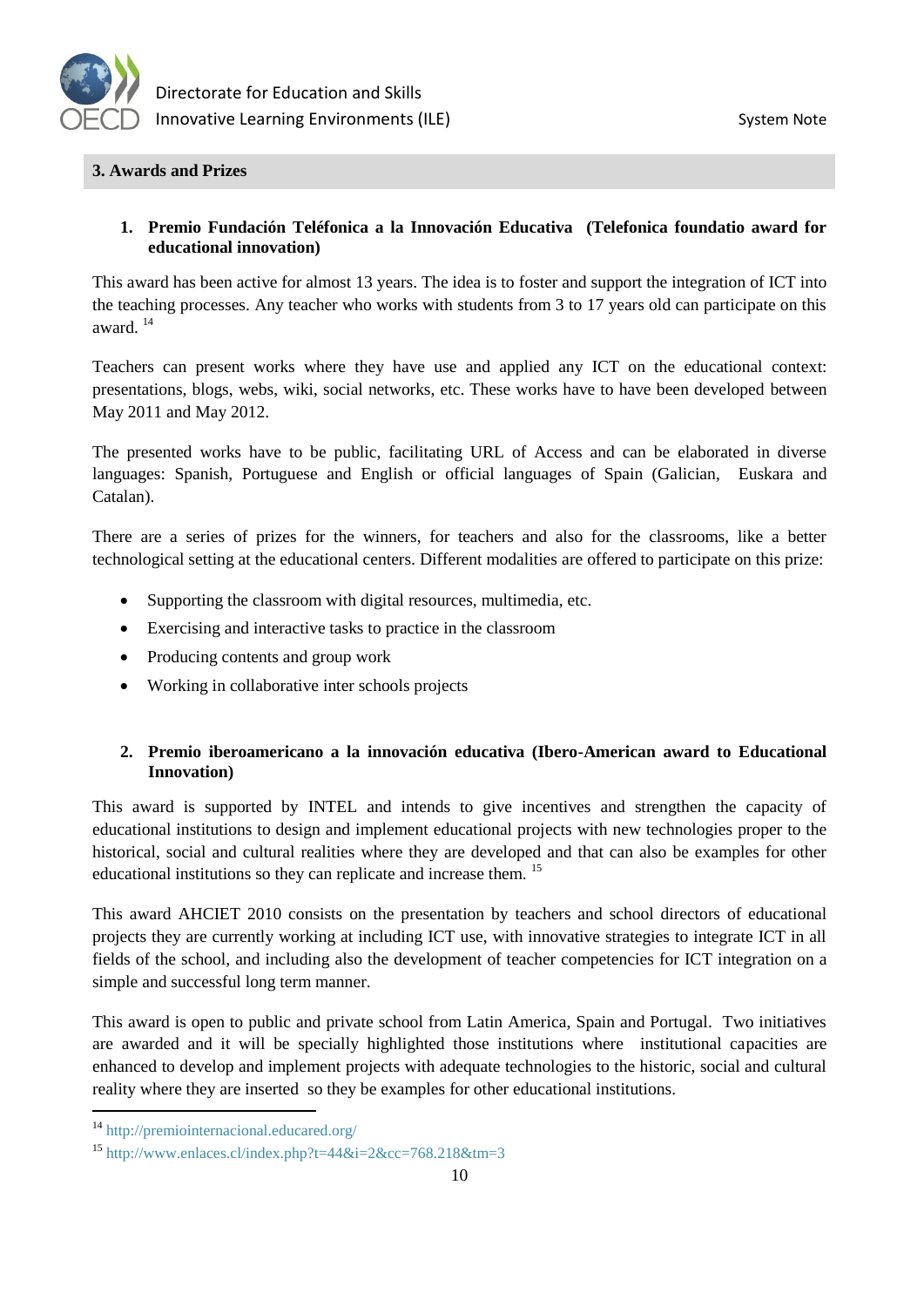

#### **3. Awards and Prizes**

#### **1. Premio Fundación Teléfonica a la Innovación Educativa (Telefonica foundatio award for educational innovation)**

This award has been active for almost 13 years. The idea is to foster and support the integration of ICT into the teaching processes. Any teacher who works with students from 3 to 17 years old can participate on this award. <sup>14</sup>

Teachers can present works where they have use and applied any ICT on the educational context: presentations, blogs, webs, wiki, social networks, etc. These works have to have been developed between May 2011 and May 2012.

The presented works have to be public, facilitating URL of Access and can be elaborated in diverse languages: Spanish, Portuguese and English or official languages of Spain (Galician, Euskara and Catalan).

There are a series of prizes for the winners, for teachers and also for the classrooms, like a better technological setting at the educational centers. Different modalities are offered to participate on this prize:

- Supporting the classroom with digital resources, multimedia, etc.
- Exercising and interactive tasks to practice in the classroom
- Producing contents and group work
- Working in collaborative inter schools projects

## **2. Premio iberoamericano a la innovación educativa (Ibero-American award to Educational Innovation)**

This award is supported by INTEL and intends to give incentives and strengthen the capacity of educational institutions to design and implement educational projects with new technologies proper to the historical, social and cultural realities where they are developed and that can also be examples for other educational institutions so they can replicate and increase them. <sup>15</sup>

This award AHCIET 2010 consists on the presentation by teachers and school directors of educational projects they are currently working at including ICT use, with innovative strategies to integrate ICT in all fields of the school, and including also the development of teacher competencies for ICT integration on a simple and successful long term manner.

This award is open to public and private school from Latin America, Spain and Portugal. Two initiatives are awarded and it will be specially highlighted those institutions where institutional capacities are enhanced to develop and implement projects with adequate technologies to the historic, social and cultural reality where they are inserted so they be examples for other educational institutions.

<sup>14</sup> <http://premiointernacional.educared.org/>

<sup>&</sup>lt;sup>15</sup> <http://www.enlaces.cl/index.php?t=44&i=2&cc=768.218&tm=3>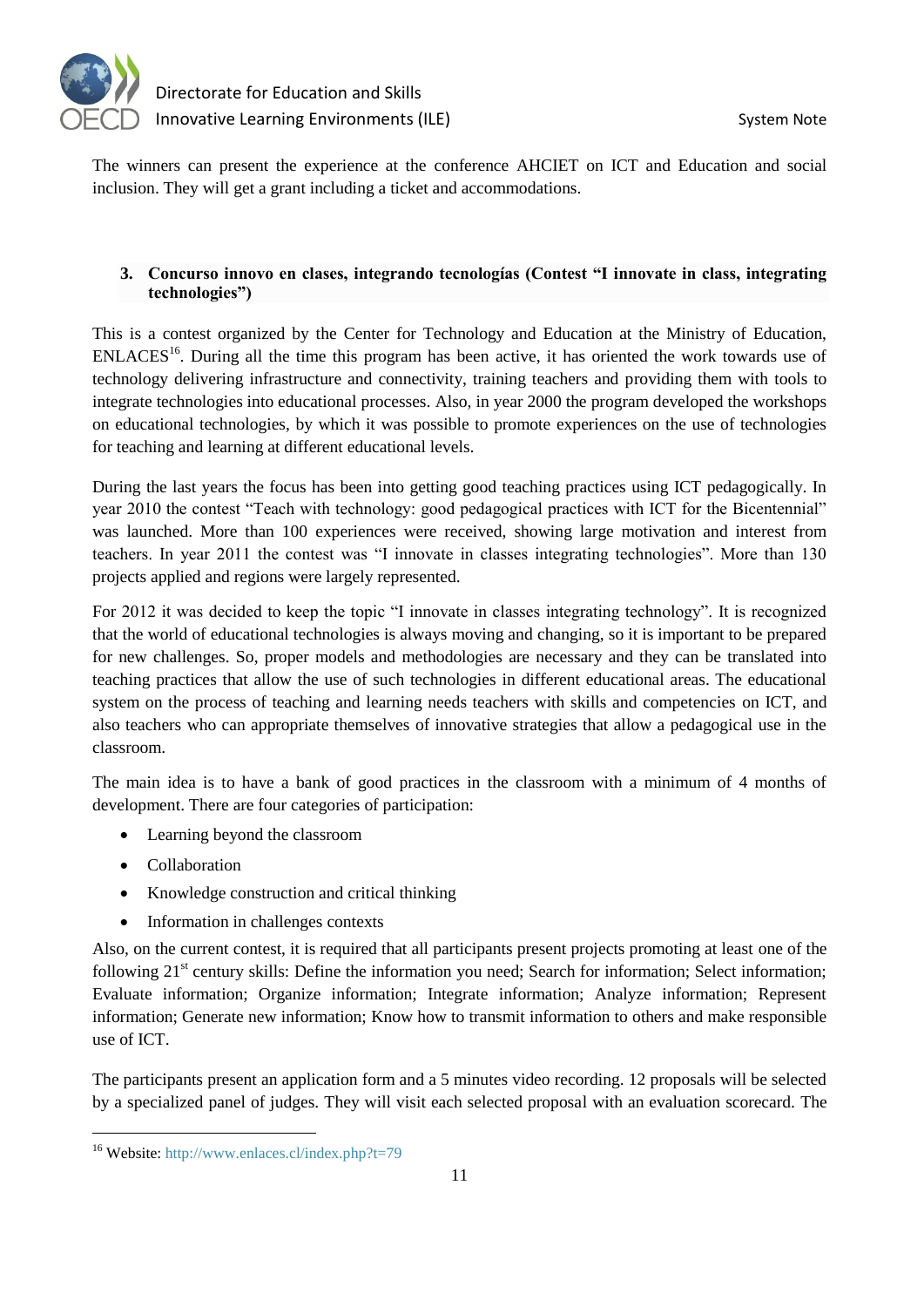

The winners can present the experience at the conference AHCIET on ICT and Education and social inclusion. They will get a grant including a ticket and accommodations.

## **3. Concurso innovo en clases, integrando tecnologías (Contest "I innovate in class, integrating technologies")**

This is a contest organized by the Center for Technology and Education at the Ministry of Education, ENLACES<sup>16</sup>. During all the time this program has been active, it has oriented the work towards use of technology delivering infrastructure and connectivity, training teachers and providing them with tools to integrate technologies into educational processes. Also, in year 2000 the program developed the workshops on educational technologies, by which it was possible to promote experiences on the use of technologies for teaching and learning at different educational levels.

During the last years the focus has been into getting good teaching practices using ICT pedagogically. In year 2010 the contest "Teach with technology: good pedagogical practices with ICT for the Bicentennial" was launched. More than 100 experiences were received, showing large motivation and interest from teachers. In year 2011 the contest was "I innovate in classes integrating technologies". More than 130 projects applied and regions were largely represented.

For 2012 it was decided to keep the topic "I innovate in classes integrating technology". It is recognized that the world of educational technologies is always moving and changing, so it is important to be prepared for new challenges. So, proper models and methodologies are necessary and they can be translated into teaching practices that allow the use of such technologies in different educational areas. The educational system on the process of teaching and learning needs teachers with skills and competencies on ICT, and also teachers who can appropriate themselves of innovative strategies that allow a pedagogical use in the classroom.

The main idea is to have a bank of good practices in the classroom with a minimum of 4 months of development. There are four categories of participation:

- Learning beyond the classroom
- Collaboration

- Knowledge construction and critical thinking
- Information in challenges contexts

Also, on the current contest, it is required that all participants present projects promoting at least one of the following 21<sup>st</sup> century skills: Define the information you need; Search for information; Select information; Evaluate information; Organize information; Integrate information; Analyze information; Represent information; Generate new information; Know how to transmit information to others and make responsible use of ICT.

The participants present an application form and a 5 minutes video recording. 12 proposals will be selected by a specialized panel of judges. They will visit each selected proposal with an evaluation scorecard. The

<sup>16</sup> Website[: http://www.enlaces.cl/index.php?t=79](http://www.enlaces.cl/index.php?t=79)